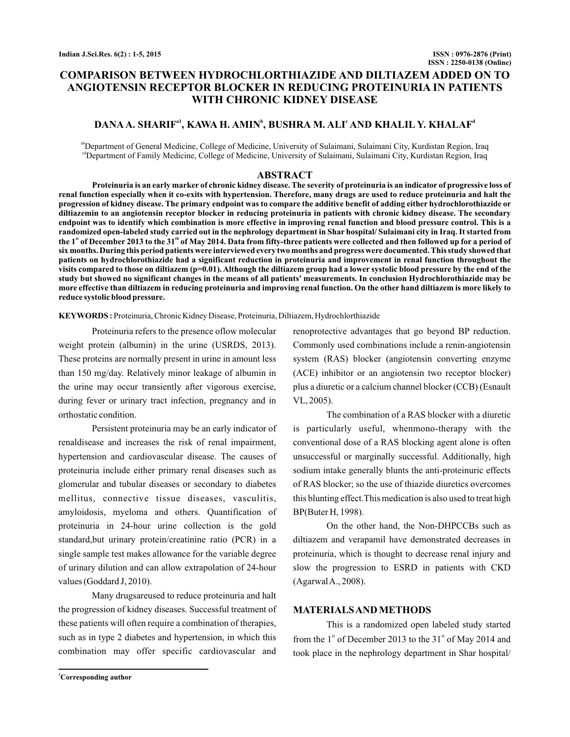# **COMPARISON BETWEEN HYDROCHLORTHIAZIDE AND DILTIAZEM ADDED ON TO ANGIOTENSIN RECEPTOR BLOCKER IN REDUCING PROTEINURIA IN PATIENTS WITH CHRONIC KIDNEY DISEASE**

# DANA A. SHARIF<sup>a1</sup>, KAWA H. AMIN<sup>b</sup>, BUSHRA M. ALI<sup>c</sup> AND KHALIL Y. KHALAF<sup>d</sup>

<sup>ab</sup>Department of General Medicine, College of Medicine, University of Sulaimani, Sulaimani City, Kurdistan Region, Iraq <sup>cd</sup>Department of Family Medicine, College of Medicine, University of Sulaimani, Sulaimani City, Kurdistan Region, Iraq

### **ABSTRACT**

**Proteinuria is an early marker of chronic kidney disease. The severity of proteinuria is an indicator of progressive loss of renal function especially when it co-exits with hypertension. Therefore, many drugs are used to reduce proteinuria and halt the progression of kidney disease. The primary endpoint was to compare the additive benefit of adding either hydrochlorothiazide or diltiazemin to an angiotensin receptor blocker in reducing proteinuria in patients with chronic kidney disease. The secondary endpoint was to identify which combination is more effective in improving renal function and blood pressure control. This is a randomized open-labeled study carried out in the nephrology department in Shar hospital/ Sulaimani city in Iraq. It started from** the 1" of December 2013 to the 31<sup>m</sup> of May 2014. Data from fifty-three patients were collected and then followed up for a period of **six months. During this period patients were interviewed every two months and progress were documented.This study showed that patients on hydrochlorothiazide had a significant reduction in proteinuria and improvement in renal function throughout the visits compared to those on diltiazem (p=0.01). Although the diltiazem group had a lower systolic blood pressure by the end of the study but showed no significant changes in the means of all patients' measurements. In conclusion Hydrochlorothiazide may be more effective than diltiazem in reducing proteinuria and improving renal function. On the other hand diltiazem is more likely to reduce systolic blood pressure.**

**KEYWORDS :** Proteinuria, Chronic Kidney Disease, Proteinuria, Diltiazem, Hydrochlorthiazide

Proteinuria refers to the presence oflow molecular weight protein (albumin) in the urine (USRDS, 2013). These proteins are normally present in urine in amount less than 150 mg/day. Relatively minor leakage of albumin in the urine may occur transiently after vigorous exercise, during fever or urinary tract infection, pregnancy and in orthostatic condition.

Persistent proteinuria may be an early indicator of renaldisease and increases the risk of renal impairment, hypertension and cardiovascular disease. The causes of proteinuria include either primary renal diseases such as glomerular and tubular diseases or secondary to diabetes mellitus, connective tissue diseases, vasculitis, amyloidosis, myeloma and others. Quantification of proteinuria in 24-hour urine collection is the gold standard,but urinary protein/creatinine ratio (PCR) in a single sample test makes allowance for the variable degree of urinary dilution and can allow extrapolation of 24-hour values (Goddard J, 2010).

Many drugsareused to reduce proteinuria and halt the progression of kidney diseases. Successful treatment of these patients will often require a combination of therapies, such as in type 2 diabetes and hypertension, in which this combination may offer specific cardiovascular and

renoprotective advantages that go beyond BP reduction. Commonly used combinations include a renin-angiotensin system (RAS) blocker (angiotensin converting enzyme (ACE) inhibitor or an angiotensin two receptor blocker) plus a diuretic or a calcium channel blocker (CCB) (Esnault VL, 2005).

The combination of a RAS blocker with a diuretic is particularly useful, whenmono-therapy with the conventional dose of a RAS blocking agent alone is often unsuccessful or marginally successful. Additionally, high sodium intake generally blunts the anti-proteinuric effects of RAS blocker; so the use of thiazide diuretics overcomes this blunting effect.This medication is also used to treat high BP(Buter H, 1998).

On the other hand, the Non-DHPCCBs such as diltiazem and verapamil have demonstrated decreases in proteinuria, which is thought to decrease renal injury and slow the progression to ESRD in patients with CKD (AgarwalA., 2008).

### **MATERIALSANDMETHODS**

This is a randomized open labeled study started from the  $1<sup>st</sup>$  of December 2013 to the 31 $<sup>st</sup>$  of May 2014 and</sup> took place in the nephrology department in Shar hospital/

**<sup>1</sup>Corresponding author**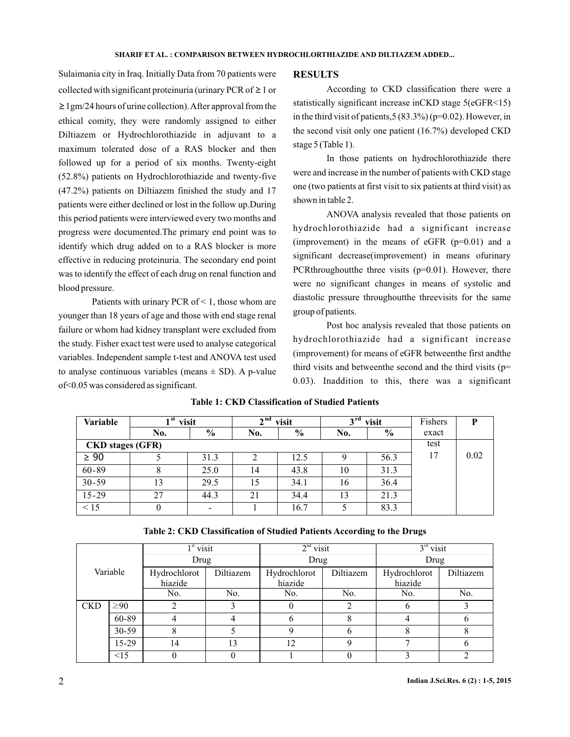Sulaimania city in Iraq. Initially Data from 70 patients were collected with significant proteinuria (urinary PCR of  $\geq 1$  or ≥ 1gm/24 hours of urine collection). After approval from the ethical comity, they were randomly assigned to either Diltiazem or Hydrochlorothiazide in adjuvant to a maximum tolerated dose of a RAS blocker and then followed up for a period of six months. Twenty-eight (52.8%) patients on Hydrochlorothiazide and twenty-five (47.2%) patients on Diltiazem finished the study and 17 patients were either declined or lost in the follow up.During this period patients were interviewed every two months and progress were documented.The primary end point was to identify which drug added on to a RAS blocker is more effective in reducing proteinuria. The secondary end point was to identify the effect of each drug on renal function and blood pressure.

Patients with urinary PCR of  $\leq$  1, those whom are younger than 18 years of age and those with end stage renal failure or whom had kidney transplant were excluded from the study. Fisher exact test were used to analyse categorical variables. Independent sample t-test and ANOVA test used to analyse continuous variables (means  $\pm$  SD). A p-value of<0.05 was considered as significant.

#### **RESULTS**

According to CKD classification there were a statistically significant increase inCKD stage 5(eGFR<15) in the third visit of patients,  $5(83.3\%)$  (p=0.02). However, in the second visit only one patient (16.7%) developed CKD stage 5 (Table 1).

In those patients on hydrochlorothiazide there were and increase in the number of patients with CKD stage one (two patients at first visit to six patients at third visit) as shown in table 2.

ANOVA analysis revealed that those patients on hydrochlorothiazide had a significant increase (improvement) in the means of eGFR  $(p=0.01)$  and a significant decrease(improvement) in means ofurinary PCRthroughout the three visits  $(p=0.01)$ . However, there were no significant changes in means of systolic and diastolic pressure throughoutthe threevisits for the same group of patients.

Post hoc analysis revealed that those patients on hydrochlorothiazide had a significant increase (improvement) for means of eGFR betweenthe first andthe third visits and betweenthe second and the third visits (p= 0.03). Inaddition to this, there was a significant

| Variable                | -st<br>visit |               | $\lambda$ nd<br>visit |               | → rd<br>visit |      | Fishers | P    |
|-------------------------|--------------|---------------|-----------------------|---------------|---------------|------|---------|------|
|                         | No.          | $\frac{0}{0}$ | No.                   | $\frac{0}{0}$ | No.           | $\%$ | exact   |      |
| <b>CKD</b> stages (GFR) |              |               |                       |               |               | test |         |      |
| $\geq 90$               |              | 31.3          |                       | 12.5          |               | 56.3 | 17      | 0.02 |
| $60 - 89$               |              | 25.0          | 14                    | 43.8          | 10            | 31.3 |         |      |
| $30 - 59$               | 13           | 29.5          | 15                    | 34.1          | 16            | 36.4 |         |      |
| $15 - 29$               | 27           | 44.3          | 21                    | 34.4          | 13            | 21.3 |         |      |
| < 15                    |              |               |                       | 16.7          |               | 83.3 |         |      |

### **Table 1: CKD Classification of Studied Patients**

**Table 2: CKD Classification of Studied Patients According to the Drugs**

|            |           | $1st$ visit  |           | $2nd$ visit  |           | $3rd$ visit  |           |
|------------|-----------|--------------|-----------|--------------|-----------|--------------|-----------|
|            |           | Drug         |           | Drug         |           | Drug         |           |
| Variable   |           | Hydrochlorot | Diltiazem | Hydrochlorot | Diltiazem | Hydrochlorot | Diltiazem |
|            |           | hiazide      |           | hiazide      |           | hiazide      |           |
|            |           | No.          | No.       | No.          | No.       | No.          | No.       |
| <b>CKD</b> | $\geq 90$ | ◠            |           | $_{0}$       | ◠         |              |           |
|            | 60-89     |              |           | 6            |           |              |           |
|            | $30 - 59$ |              |           | 9            |           |              | 8         |
|            | $15-29$   | 14           | 13        | 12           |           |              |           |
|            | $\leq$ 15 |              |           |              |           |              |           |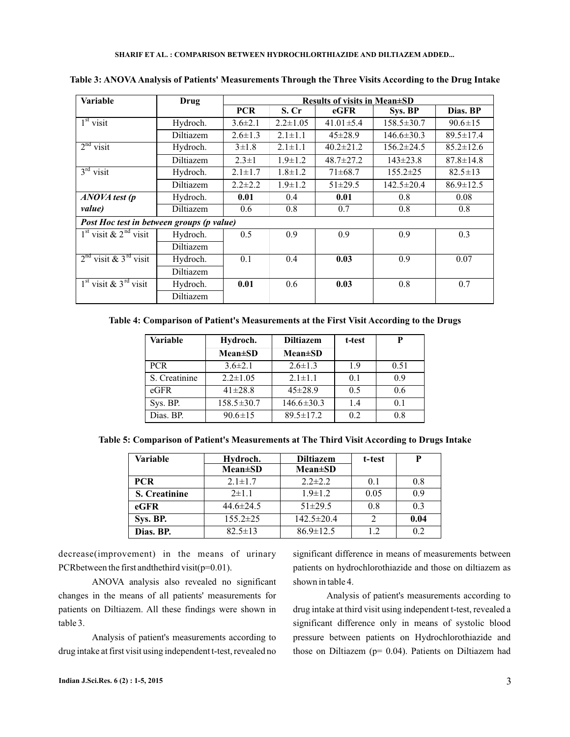| <b>Variable</b>                     | Drug                                      | <b>Results of visits in Mean±SD</b> |                |                 |                  |                 |  |
|-------------------------------------|-------------------------------------------|-------------------------------------|----------------|-----------------|------------------|-----------------|--|
|                                     |                                           | <b>PCR</b>                          | S. Cr          | eGFR            | Sys. BP          | Dias. BP        |  |
| $1st$ visit                         | Hydroch.                                  | $3.6 \pm 2.1$                       | $2.2 \pm 1.05$ | $41.01 \pm 5.4$ | $158.5 \pm 30.7$ | $90.6 \pm 15$   |  |
|                                     | Diltiazem                                 | $2.6 \pm 1.3$                       | $2.1 \pm 1.1$  | $45 \pm 28.9$   | $146.6 \pm 30.3$ | $89.5 \pm 17.4$ |  |
| $2nd$ visit                         | Hydroch.                                  | $3 \pm 1.8$                         | $2.1 \pm 1.1$  | $40.2 \pm 21.2$ | $156.2 \pm 24.5$ | $85.2 \pm 12.6$ |  |
|                                     | Diltiazem                                 | $2.3 \pm 1$                         | $1.9 \pm 1.2$  | $48.7 \pm 27.2$ | $143 \pm 23.8$   | $87.8 \pm 14.8$ |  |
| $3rd$ visit                         | Hydroch.                                  | $2.1 \pm 1.7$                       | $1.8 \pm 1.2$  | $71\pm 68.7$    | $155.2 \pm 25$   | $82.5 \pm 13$   |  |
|                                     | Diltiazem                                 | $2.2 \pm 2.2$                       | $1.9 \pm 1.2$  | $51 \pm 29.5$   | $142.5 \pm 20.4$ | $86.9 \pm 12.5$ |  |
| ANOVA test (p                       | Hydroch.                                  | 0.01                                | 0.4            | 0.01            | 0.8              | 0.08            |  |
| value)                              | Diltiazem                                 | 0.6                                 | 0.8            | 0.7             | 0.8              | 0.8             |  |
|                                     | Post Hoc test in between groups (p value) |                                     |                |                 |                  |                 |  |
| $1st$ visit & $2nd$ visit           | Hydroch.                                  | 0.5                                 | 0.9            | 0.9             | 0.9              | 0.3             |  |
|                                     | Diltiazem                                 |                                     |                |                 |                  |                 |  |
| $2nd$ visit & 3 <sup>rd</sup> visit | Hydroch.                                  | 0.1                                 | 0.4            | 0.03            | 0.9              | 0.07            |  |
|                                     | Diltiazem                                 |                                     |                |                 |                  |                 |  |
| $1st$ visit & $3rd$ visit           | Hydroch.                                  | 0.01                                | 0.6            | 0.03            | 0.8              | 0.7             |  |
|                                     | Diltiazem                                 |                                     |                |                 |                  |                 |  |

**Table 3: ANOVA Analysis of Patients' Measurements Through the Three Visits According to the Drug Intake**

**Table 4: Comparison of Patient's Measurements at the First Visit According to the Drugs**

| Variable      | Hydroch.         | <b>Diltiazem</b> | t-test |      |
|---------------|------------------|------------------|--------|------|
|               | $Mean \pm SD$    | $Mean \pm SD$    |        |      |
| <b>PCR</b>    | $3.6 \pm 2.1$    | $2.6 \pm 1.3$    | 1.9    | 0.51 |
| S. Creatinine | $2.2 \pm 1.05$   | $2.1 \pm 1.1$    | 0.1    | 0.9  |
| $e$ GFR       | $41 \pm 28.8$    | $45 \pm 28.9$    | 0.5    | 0.6  |
| Sys. BP.      | $158.5 \pm 30.7$ | $146.6 \pm 30.3$ | 1.4    | 0.1  |
| Dias. BP.     | $90.6 \pm 15$    | $89.5 \pm 17.2$  | 0.2    | 0.8  |

**Table 5: Comparison of Patient's Measurements at The Third Visit According to Drugs Intake**

| <b>Variable</b>      | Hydroch.        | <b>Diltiazem</b> | t-test |      |
|----------------------|-----------------|------------------|--------|------|
|                      | <b>Mean</b> ±SD | $Mean \pm SD$    |        |      |
| <b>PCR</b>           | $2.1 \pm 1.7$   | $2.2 \pm 2.2$    | 0.1    | 0.8  |
| <b>S.</b> Creatinine | $2 \pm 1.1$     | $1.9 \pm 1.2$    | 0.05   | 0.9  |
| $_{\rm eGFR}$        | $44.6 \pm 24.5$ | $51\pm 29.5$     | 0.8    | 0.3  |
| Sys. BP.             | $155.2 \pm 25$  | $142.5 \pm 20.4$ |        | 0.04 |
| Dias. BP.            | $82.5 \pm 13$   | $86.9 \pm 12.5$  | 12     | 0.2  |

decrease(improvement) in the means of urinary PCR between the first and the third visit( $p=0.01$ ).

ANOVA analysis also revealed no significant changes in the means of all patients' measurements for patients on Diltiazem. All these findings were shown in table 3.

Analysis of patient's measurements according to drug intake at first visit using independent t-test, revealed no

significant difference in means of measurements between patients on hydrochlorothiazide and those on diltiazem as shown in table 4.

Analysis of patient's measurements according to drug intake at third visit using independent t-test, revealed a significant difference only in means of systolic blood pressure between patients on Hydrochlorothiazide and those on Diltiazem ( $p= 0.04$ ). Patients on Diltiazem had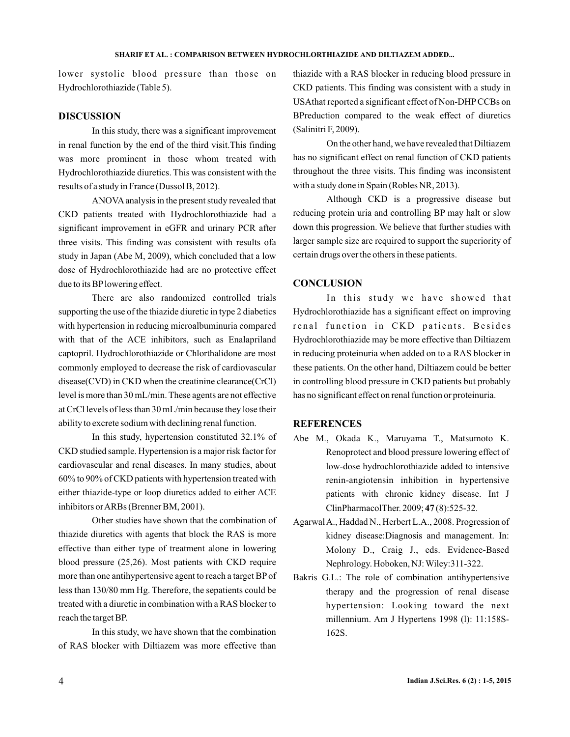lower systolic blood pressure than those on Hydrochlorothiazide (Table 5).

### **DISCUSSION**

In this study, there was a significant improvement in renal function by the end of the third visit.This finding was more prominent in those whom treated with Hydrochlorothiazide diuretics. This was consistent with the results of a study in France (Dussol B, 2012).

ANOVA analysis in the present study revealed that CKD patients treated with Hydrochlorothiazide had a significant improvement in eGFR and urinary PCR after three visits. This finding was consistent with results ofa study in Japan (Abe M, 2009), which concluded that a low dose of Hydrochlorothiazide had are no protective effect due to its BPlowering effect.

There are also randomized controlled trials supporting the use of the thiazide diuretic in type 2 diabetics with hypertension in reducing microalbuminuria compared with that of the ACE inhibitors, such as Enalapriland captopril. Hydrochlorothiazide or Chlorthalidone are most commonly employed to decrease the risk of cardiovascular disease(CVD) in CKD when the creatinine clearance(CrCl) level is more than 30 mL/min. These agents are not effective at CrCl levels of less than 30 mL/min because they lose their ability to excrete sodium with declining renal function.

In this study, hypertension constituted 32.1% of CKD studied sample. Hypertension is a major risk factor for cardiovascular and renal diseases. In many studies, about 60% to 90% of CKD patients with hypertension treated with either thiazide-type or loop diuretics added to either ACE inhibitors orARBs (Brenner BM, 2001).

Other studies have shown that the combination of thiazide diuretics with agents that block the RAS is more effective than either type of treatment alone in lowering blood pressure (25,26). Most patients with CKD require more than one antihypertensive agent to reach a target BP of less than 130/80 mm Hg. Therefore, the sepatients could be treated with a diuretic in combination with a RAS blocker to reach the target BP.

In this study, we have shown that the combination of RAS blocker with Diltiazem was more effective than

thiazide with a RAS blocker in reducing blood pressure in CKD patients. This finding was consistent with a study in USAthat reported a significant effect of Non-DHP CCBs on BPreduction compared to the weak effect of diuretics (Salinitri F, 2009).

On the other hand, we have revealed that Diltiazem has no significant effect on renal function of CKD patients throughout the three visits. This finding was inconsistent with a study done in Spain (Robles NR, 2013).

Although CKD is a progressive disease but reducing protein uria and controlling BP may halt or slow down this progression. We believe that further studies with larger sample size are required to support the superiority of certain drugs over the others in these patients.

### **CONCLUSION**

In this study we have showed that Hydrochlorothiazide has a significant effect on improving renal function in CKD patients. Besides Hydrochlorothiazide may be more effective than Diltiazem in reducing proteinuria when added on to a RAS blocker in these patients. On the other hand, Diltiazem could be better in controlling blood pressure in CKD patients but probably has no significant effect on renal function or proteinuria.

### **REFERENCES**

- Abe M., Okada K., Maruyama T., Matsumoto K. Renoprotect and blood pressure lowering effect of low-dose hydrochlorothiazide added to intensive renin-angiotensin inhibition in hypertensive patients with chronic kidney disease. Int J ClinPharmacolTher. 2009; 47(8):525-32.
- AgarwalA., Haddad N., Herbert L.A., 2008. Progression of kidney disease:Diagnosis and management. In: Molony D., Craig J., eds. Evidence-Based Nephrology. Hoboken, NJ:Wiley:311-322.
- Bakris G.L.: The role of combination antihypertensive therapy and the progression of renal disease hypertension: Looking toward the next millennium. Am J Hypertens 1998 (l): 11:158S-162S.